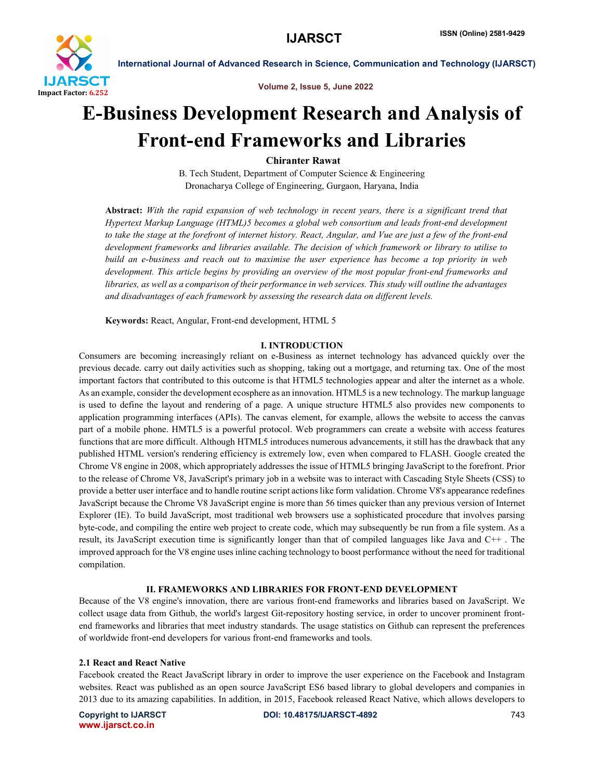

Volume 2, Issue 5, June 2022

# E-Business Development Research and Analysis of Front-end Frameworks and Libraries

Chiranter Rawat

B. Tech Student, Department of Computer Science & Engineering Dronacharya College of Engineering, Gurgaon, Haryana, India

Abstract: *With the rapid expansion of web technology in recent years, there is a significant trend that Hypertext Markup Language (HTML)5 becomes a global web consortium and leads front-end development to take the stage at the forefront of internet history. React, Angular, and Vue are just a few of the front-end development frameworks and libraries available. The decision of which framework or library to utilise to build an e-business and reach out to maximise the user experience has become a top priority in web development. This article begins by providing an overview of the most popular front-end frameworks and libraries, as well as a comparison of their performance in web services. This study will outline the advantages and disadvantages of each framework by assessing the research data on different levels.*

Keywords: React, Angular, Front-end development, HTML 5

# I. INTRODUCTION

Consumers are becoming increasingly reliant on e-Business as internet technology has advanced quickly over the previous decade. carry out daily activities such as shopping, taking out a mortgage, and returning tax. One of the most important factors that contributed to this outcome is that HTML5 technologies appear and alter the internet as a whole. As an example, consider the development ecosphere as an innovation. HTML5 is a new technology. The markup language is used to define the layout and rendering of a page. A unique structure HTML5 also provides new components to application programming interfaces (APIs). The canvas element, for example, allows the website to access the canvas part of a mobile phone. HMTL5 is a powerful protocol. Web programmers can create a website with access features functions that are more difficult. Although HTML5 introduces numerous advancements, it still has the drawback that any published HTML version's rendering efficiency is extremely low, even when compared to FLASH. Google created the Chrome V8 engine in 2008, which appropriately addresses the issue of HTML5 bringing JavaScript to the forefront. Prior to the release of Chrome V8, JavaScript's primary job in a website was to interact with Cascading Style Sheets (CSS) to provide a better user interface and to handle routine script actions like form validation. Chrome V8's appearance redefines JavaScript because the Chrome V8 JavaScript engine is more than 56 times quicker than any previous version of Internet Explorer (IE). To build JavaScript, most traditional web browsers use a sophisticated procedure that involves parsing byte-code, and compiling the entire web project to create code, which may subsequently be run from a file system. As a result, its JavaScript execution time is significantly longer than that of compiled languages like Java and C++ . The improved approach for the V8 engine uses inline caching technology to boost performance without the need for traditional compilation.

### II. FRAMEWORKS AND LIBRARIES FOR FRONT-END DEVELOPMENT

Because of the V8 engine's innovation, there are various front-end frameworks and libraries based on JavaScript. We collect usage data from Github, the world's largest Git-repository hosting service, in order to uncover prominent frontend frameworks and libraries that meet industry standards. The usage statistics on Github can represent the preferences of worldwide front-end developers for various front-end frameworks and tools.

# 2.1 React and React Native

Facebook created the React JavaScript library in order to improve the user experience on the Facebook and Instagram websites. React was published as an open source JavaScript ES6 based library to global developers and companies in 2013 due to its amazing capabilities. In addition, in 2015, Facebook released React Native, which allows developers to

www.ijarsct.co.in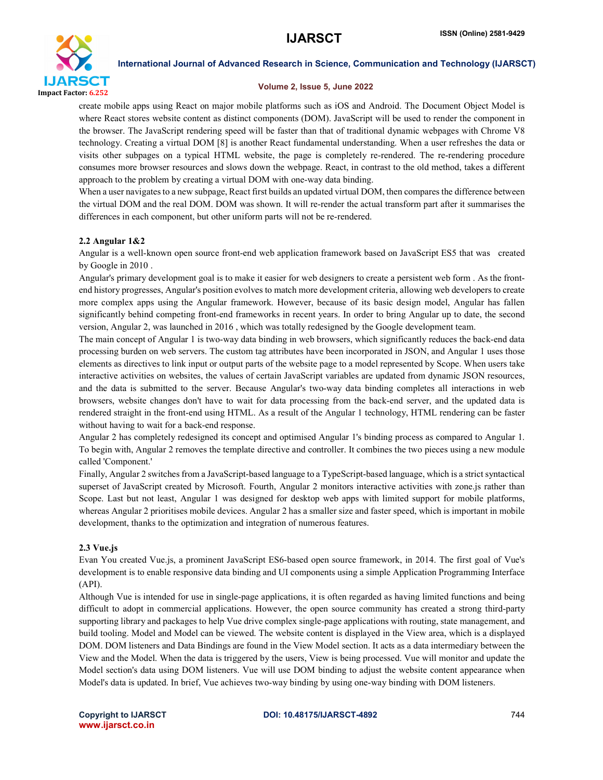

### Volume 2, Issue 5, June 2022

create mobile apps using React on major mobile platforms such as iOS and Android. The Document Object Model is where React stores website content as distinct components (DOM). JavaScript will be used to render the component in the browser. The JavaScript rendering speed will be faster than that of traditional dynamic webpages with Chrome V8 technology. Creating a virtual DOM [8] is another React fundamental understanding. When a user refreshes the data or visits other subpages on a typical HTML website, the page is completely re-rendered. The re-rendering procedure consumes more browser resources and slows down the webpage. React, in contrast to the old method, takes a different approach to the problem by creating a virtual DOM with one-way data binding.

When a user navigates to a new subpage, React first builds an updated virtual DOM, then compares the difference between the virtual DOM and the real DOM. DOM was shown. It will re-render the actual transform part after it summarises the differences in each component, but other uniform parts will not be re-rendered.

# 2.2 Angular 1&2

Angular is a well-known open source front-end web application framework based on JavaScript ES5 that was created by Google in 2010 .

Angular's primary development goal is to make it easier for web designers to create a persistent web form . As the frontend history progresses, Angular's position evolves to match more development criteria, allowing web developers to create more complex apps using the Angular framework. However, because of its basic design model, Angular has fallen significantly behind competing front-end frameworks in recent years. In order to bring Angular up to date, the second version, Angular 2, was launched in 2016 , which was totally redesigned by the Google development team.

The main concept of Angular 1 is two-way data binding in web browsers, which significantly reduces the back-end data processing burden on web servers. The custom tag attributes have been incorporated in JSON, and Angular 1 uses those elements as directives to link input or output parts of the website page to a model represented by Scope. When users take interactive activities on websites, the values of certain JavaScript variables are updated from dynamic JSON resources, and the data is submitted to the server. Because Angular's two-way data binding completes all interactions in web browsers, website changes don't have to wait for data processing from the back-end server, and the updated data is rendered straight in the front-end using HTML. As a result of the Angular 1 technology, HTML rendering can be faster without having to wait for a back-end response.

Angular 2 has completely redesigned its concept and optimised Angular 1's binding process as compared to Angular 1. To begin with, Angular 2 removes the template directive and controller. It combines the two pieces using a new module called 'Component.'

Finally, Angular 2 switches from a JavaScript-based language to a TypeScript-based language, which is a strict syntactical superset of JavaScript created by Microsoft. Fourth, Angular 2 monitors interactive activities with zone.js rather than Scope. Last but not least, Angular 1 was designed for desktop web apps with limited support for mobile platforms, whereas Angular 2 prioritises mobile devices. Angular 2 has a smaller size and faster speed, which is important in mobile development, thanks to the optimization and integration of numerous features.

### 2.3 Vue.js

Evan You created Vue.js, a prominent JavaScript ES6-based open source framework, in 2014. The first goal of Vue's development is to enable responsive data binding and UI components using a simple Application Programming Interface (API).

Although Vue is intended for use in single-page applications, it is often regarded as having limited functions and being difficult to adopt in commercial applications. However, the open source community has created a strong third-party supporting library and packages to help Vue drive complex single-page applications with routing, state management, and build tooling. Model and Model can be viewed. The website content is displayed in the View area, which is a displayed DOM. DOM listeners and Data Bindings are found in the View Model section. It acts as a data intermediary between the View and the Model. When the data is triggered by the users, View is being processed. Vue will monitor and update the Model section's data using DOM listeners. Vue will use DOM binding to adjust the website content appearance when Model's data is updated. In brief, Vue achieves two-way binding by using one-way binding with DOM listeners.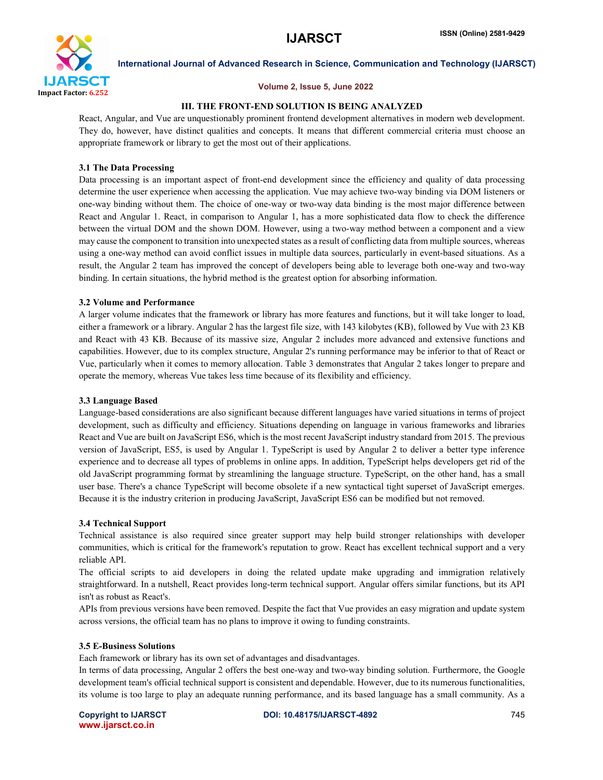

#### Volume 2, Issue 5, June 2022

#### III. THE FRONT-END SOLUTION IS BEING ANALYZED

React, Angular, and Vue are unquestionably prominent frontend development alternatives in modern web development. They do, however, have distinct qualities and concepts. It means that different commercial criteria must choose an appropriate framework or library to get the most out of their applications.

#### 3.1 The Data Processing

Data processing is an important aspect of front-end development since the efficiency and quality of data processing determine the user experience when accessing the application. Vue may achieve two-way binding via DOM listeners or one-way binding without them. The choice of one-way or two-way data binding is the most major difference between React and Angular 1. React, in comparison to Angular 1, has a more sophisticated data flow to check the difference between the virtual DOM and the shown DOM. However, using a two-way method between a component and a view may cause the component to transition into unexpected states as a result of conflicting data from multiple sources, whereas using a one-way method can avoid conflict issues in multiple data sources, particularly in event-based situations. As a result, the Angular 2 team has improved the concept of developers being able to leverage both one-way and two-way binding. In certain situations, the hybrid method is the greatest option for absorbing information.

# 3.2 Volume and Performance

A larger volume indicates that the framework or library has more features and functions, but it will take longer to load, either a framework or a library. Angular 2 has the largest file size, with 143 kilobytes (KB), followed by Vue with 23 KB and React with 43 KB. Because of its massive size, Angular 2 includes more advanced and extensive functions and capabilities. However, due to its complex structure, Angular 2's running performance may be inferior to that of React or Vue, particularly when it comes to memory allocation. Table 3 demonstrates that Angular 2 takes longer to prepare and operate the memory, whereas Vue takes less time because of its flexibility and efficiency.

### 3.3 Language Based

Language-based considerations are also significant because different languages have varied situations in terms of project development, such as difficulty and efficiency. Situations depending on language in various frameworks and libraries React and Vue are built on JavaScript ES6, which is the most recent JavaScript industry standard from 2015. The previous version of JavaScript, ES5, is used by Angular 1. TypeScript is used by Angular 2 to deliver a better type inference experience and to decrease all types of problems in online apps. In addition, TypeScript helps developers get rid of the old JavaScript programming format by streamlining the language structure. TypeScript, on the other hand, has a small user base. There's a chance TypeScript will become obsolete if a new syntactical tight superset of JavaScript emerges. Because it is the industry criterion in producing JavaScript, JavaScript ES6 can be modified but not removed.

#### 3.4 Technical Support

Technical assistance is also required since greater support may help build stronger relationships with developer communities, which is critical for the framework's reputation to grow. React has excellent technical support and a very reliable API.

The official scripts to aid developers in doing the related update make upgrading and immigration relatively straightforward. In a nutshell, React provides long-term technical support. Angular offers similar functions, but its API isn't as robust as React's.

APIs from previous versions have been removed. Despite the fact that Vue provides an easy migration and update system across versions, the official team has no plans to improve it owing to funding constraints.

#### 3.5 E-Business Solutions

Each framework or library has its own set of advantages and disadvantages.

In terms of data processing, Angular 2 offers the best one-way and two-way binding solution. Furthermore, the Google development team's official technical support is consistent and dependable. However, due to its numerous functionalities, its volume is too large to play an adequate running performance, and its based language has a small community. As a

www.ijarsct.co.in